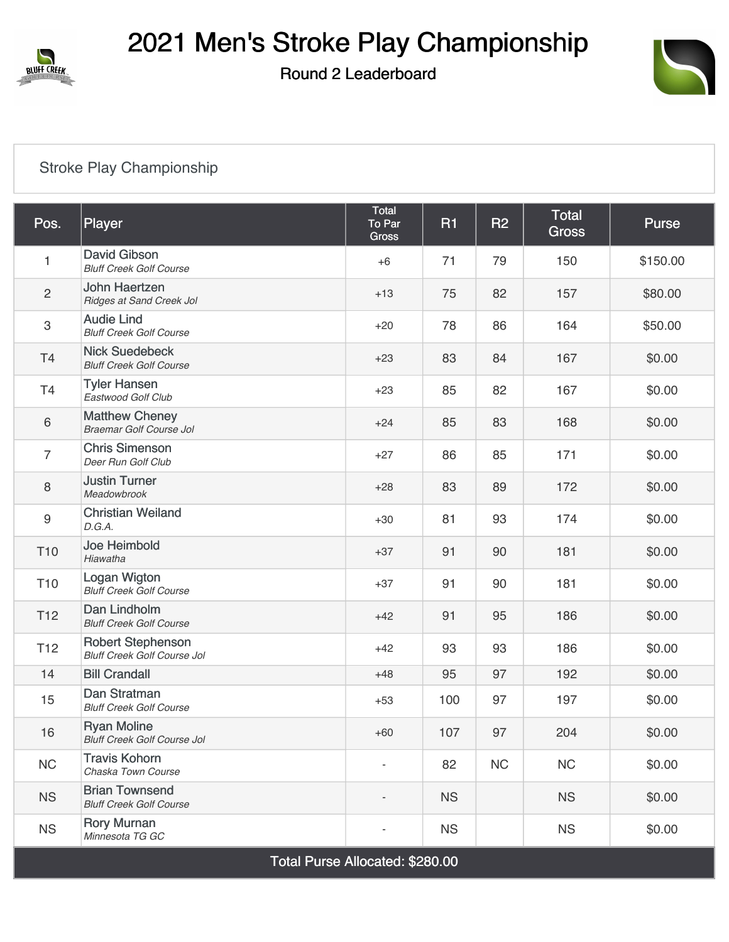

## 2021 Men's Stroke Play Championship

Round 2 Leaderboard



## [Stroke Play Championship](https://cdn2.golfgenius.com/v2tournaments/7693945531462104192?called_from=&round_index=2)

| Pos.                            | Player                                                         | Total<br>To Par<br>Gross | <b>R1</b> | R2 | <b>Total</b><br><b>Gross</b> | <b>Purse</b> |  |
|---------------------------------|----------------------------------------------------------------|--------------------------|-----------|----|------------------------------|--------------|--|
| $\mathbf{1}$                    | David Gibson<br><b>Bluff Creek Golf Course</b>                 | $+6$                     | 71        | 79 | 150                          | \$150.00     |  |
| $\overline{c}$                  | John Haertzen<br>Ridges at Sand Creek Jol                      | $+13$                    | 75        | 82 | 157                          | \$80.00      |  |
| $\ensuremath{\mathsf{3}}$       | <b>Audie Lind</b><br><b>Bluff Creek Golf Course</b>            | $+20$                    | 78        | 86 | 164                          | \$50.00      |  |
| T4                              | <b>Nick Suedebeck</b><br><b>Bluff Creek Golf Course</b>        | $+23$                    | 83        | 84 | 167                          | \$0.00       |  |
| T4                              | <b>Tyler Hansen</b><br>Eastwood Golf Club                      | $+23$                    | 85        | 82 | 167                          | \$0.00       |  |
| $\,6\,$                         | <b>Matthew Cheney</b><br>Braemar Golf Course Jol               | $+24$                    | 85        | 83 | 168                          | \$0.00       |  |
| $\overline{7}$                  | <b>Chris Simenson</b><br>Deer Run Golf Club                    | $+27$                    | 86        | 85 | 171                          | \$0.00       |  |
| 8                               | <b>Justin Turner</b><br>Meadowbrook                            | $+28$                    | 83        | 89 | 172                          | \$0.00       |  |
| $\boldsymbol{9}$                | <b>Christian Weiland</b><br>D.G.A.                             | $+30$                    | 81        | 93 | 174                          | \$0.00       |  |
| T <sub>10</sub>                 | Joe Heimbold<br>Hiawatha                                       | $+37$                    | 91        | 90 | 181                          | \$0.00       |  |
| T <sub>10</sub>                 | Logan Wigton<br><b>Bluff Creek Golf Course</b>                 | $+37$                    | 91        | 90 | 181                          | \$0.00       |  |
| T <sub>12</sub>                 | Dan Lindholm<br><b>Bluff Creek Golf Course</b>                 | $+42$                    | 91        | 95 | 186                          | \$0.00       |  |
| T <sub>12</sub>                 | <b>Robert Stephenson</b><br><b>Bluff Creek Golf Course Jol</b> | $+42$                    | 93        | 93 | 186                          | \$0.00       |  |
| 14                              | <b>Bill Crandall</b>                                           | $+48$                    | 95        | 97 | 192                          | \$0.00       |  |
| 15                              | Dan Stratman<br><b>Bluff Creek Golf Course</b>                 | $+53$                    | 100       | 97 | 197                          | \$0.00       |  |
| 16                              | <b>Ryan Moline</b><br><b>Bluff Creek Golf Course Jol</b>       | $+60$                    | 107       | 97 | 204                          | \$0.00       |  |
| NC                              | <b>Travis Kohorn</b><br>Chaska Town Course                     | $\overline{\phantom{a}}$ | 82        | NC | NC                           | \$0.00       |  |
| <b>NS</b>                       | <b>Brian Townsend</b><br><b>Bluff Creek Golf Course</b>        |                          | <b>NS</b> |    | <b>NS</b>                    | \$0.00       |  |
| <b>NS</b>                       | <b>Rory Murnan</b><br>Minnesota TG GC                          |                          | <b>NS</b> |    | <b>NS</b>                    | \$0.00       |  |
| Total Purse Allocated: \$280.00 |                                                                |                          |           |    |                              |              |  |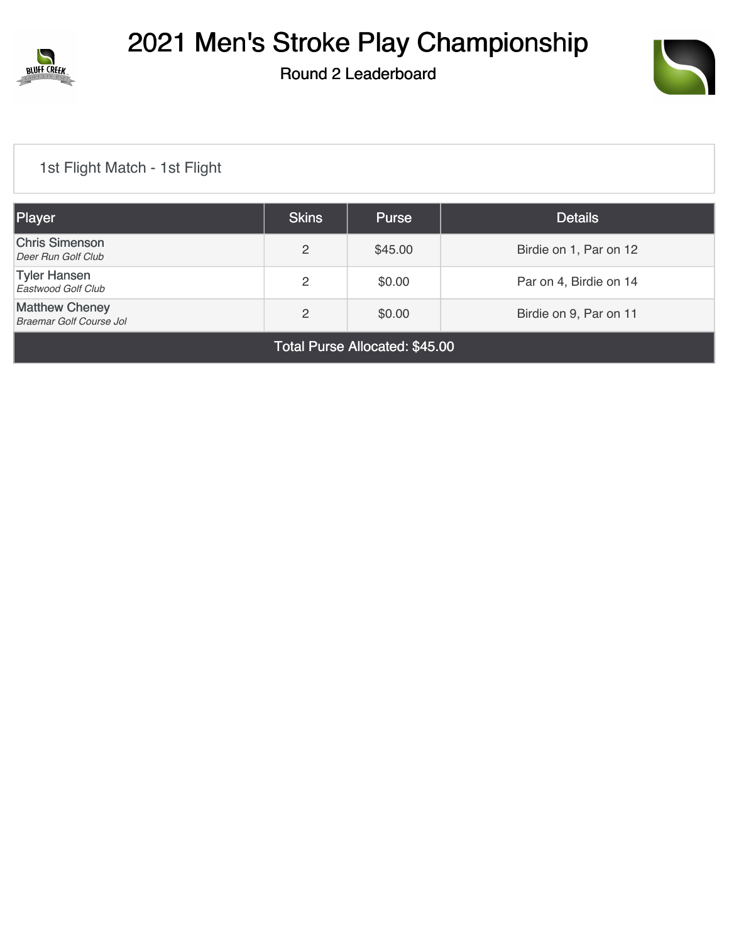

Round 2 Leaderboard



## [1st Flight Match - 1st Flight](https://cdn2.golfgenius.com/v2tournaments/7705169257742513631?called_from=&round_index=2)

| Player                                           | <b>Skins</b> | <b>Purse</b> | <b>Details</b>         |  |  |
|--------------------------------------------------|--------------|--------------|------------------------|--|--|
| <b>Chris Simenson</b><br>Deer Run Golf Club      | 2            | \$45.00      | Birdie on 1, Par on 12 |  |  |
| <b>Tyler Hansen</b><br>Eastwood Golf Club        | 2            | \$0.00       | Par on 4, Birdie on 14 |  |  |
| <b>Matthew Cheney</b><br>Braemar Golf Course Jol | 2            | \$0.00       | Birdie on 9, Par on 11 |  |  |
| <b>Total Purse Allocated: \$45.00</b>            |              |              |                        |  |  |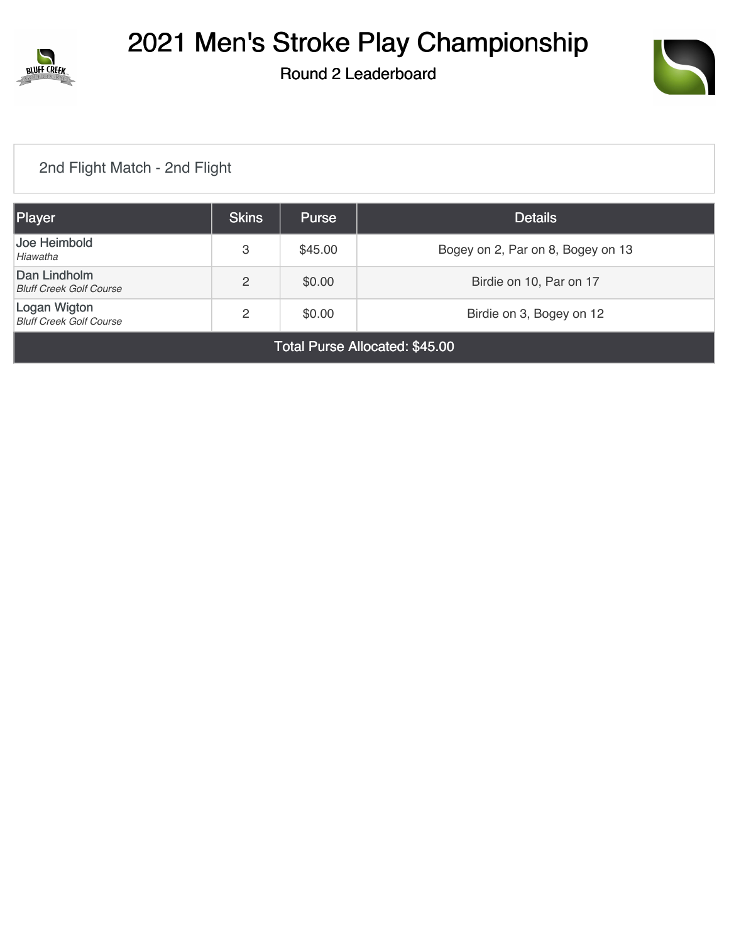

# 2021 Men's Stroke Play Championship

Round 2 Leaderboard



## [2nd Flight Match - 2nd Flight](https://cdn2.golfgenius.com/v2tournaments/7705170141029381600?called_from=&round_index=2)

| Player                                         | <b>Skins</b> | <b>Purse</b> | <b>Details</b>                    |  |  |  |
|------------------------------------------------|--------------|--------------|-----------------------------------|--|--|--|
| Joe Heimbold<br>Hiawatha                       | 3            | \$45.00      | Bogey on 2, Par on 8, Bogey on 13 |  |  |  |
| Dan Lindholm<br><b>Bluff Creek Golf Course</b> | 2            | \$0.00       | Birdie on 10, Par on 17           |  |  |  |
| Logan Wigton<br><b>Bluff Creek Golf Course</b> | 2            | \$0.00       | Birdie on 3, Bogey on 12          |  |  |  |
| Total Purse Allocated: \$45.00                 |              |              |                                   |  |  |  |